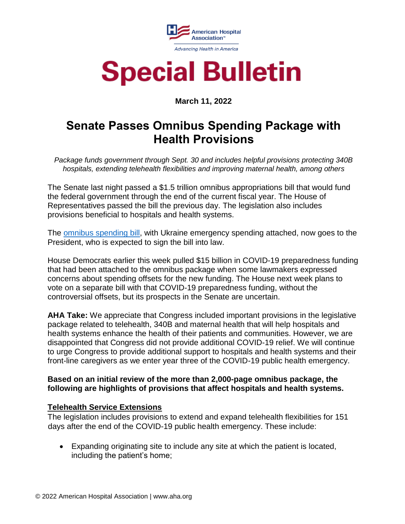

### **Special Bulletin**

### **March 11, 2022**

### **Senate Passes Omnibus Spending Package with Health Provisions**

*Package funds government through Sept. 30 and includes helpful provisions protecting 340B hospitals, extending telehealth flexibilities and improving maternal health, among others*

The Senate last night passed a \$1.5 trillion omnibus appropriations bill that would fund the federal government through the end of the current fiscal year. The House of Representatives passed the bill the previous day. The legislation also includes provisions beneficial to hospitals and health systems.

The [omnibus spending bill,](https://rules.house.gov/sites/democrats.rules.house.gov/files/BILLS-117HR2471SA-RCP-117-35.pdf) with Ukraine emergency spending attached, now goes to the President, who is expected to sign the bill into law.

House Democrats earlier this week pulled \$15 billion in COVID-19 preparedness funding that had been attached to the omnibus package when some lawmakers expressed concerns about spending offsets for the new funding. The House next week plans to vote on a separate bill with that COVID-19 preparedness funding, without the controversial offsets, but its prospects in the Senate are uncertain.

**AHA Take:** We appreciate that Congress included important provisions in the legislative package related to telehealth, 340B and maternal health that will help hospitals and health systems enhance the health of their patients and communities. However, we are disappointed that Congress did not provide additional COVID-19 relief. We will continue to urge Congress to provide additional support to hospitals and health systems and their front-line caregivers as we enter year three of the COVID-19 public health emergency.

#### **Based on an initial review of the more than 2,000-page omnibus package, the following are highlights of provisions that affect hospitals and health systems.**

#### **Telehealth Service Extensions**

The legislation includes provisions to extend and expand telehealth flexibilities for 151 days after the end of the COVID-19 public health emergency. These include:

 Expanding originating site to include any site at which the patient is located, including the patient's home;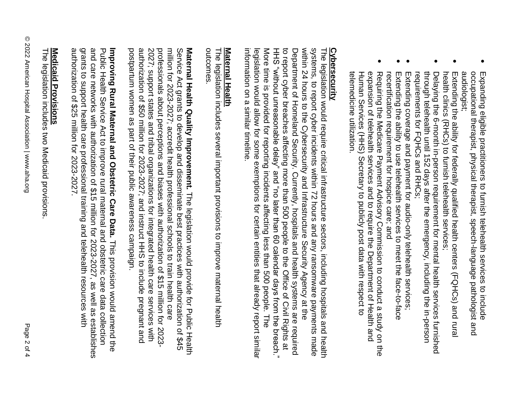- $\bullet$ occupational therapist, physical therapist, speech-language pathologist and Expanding eligible practitioners to furnish telehealth services to include audiologist; audiologist; occupational therapist, physical therapist, speech Expanding eligible practitioners to furnish telehealth services to include -language pathologist and
- $\bullet$ health clinics (RHCs) to furnish telehealth services; health clinics (RHCs) to furnish telehealth services; Extending the ability for federally qualified health centers (FQHCs) and rural Extending the ability for federally qualified health centers (FQHCs) and
- $\bullet$ requirements for FQHCs and RHCs; through telehealth until 152 days after the emergency, including the in-person requirements for FQHCs and RHCs; through telehealth until 152 days after the emergency, including the in-person Delaying the 6-month in-person requirement for mental health services furnished Delaying the 6-month in-person requirement for mental health services furnished
- $\bullet$ Extending coverage and payment for audio-only telehealth services Extending coverage and payment for audio-only telehealth services;
- $\bullet$ Extending the ability to use telehealth services to meet the face-to-face recertification requirement for hospice care; Extending the ability to use telehealth services to meet the face-to-face<br>recertification requirement for hospice care; and
- $\bullet$ Human Services (HHS) Secretary to publicly post data with respect to<br>telemedicine utilization. expansion of telehealth services and to require the Department of Health and telemedicine utilization. Human Services (HHS) Secretary to publicly post data with respect to expansion of telehealth services and to require the Department of Health and Requiring the Medicare Payment Advisory Commission to conduct a study on the Requiring the Medicare Payment Advisory Commission to conduct a study on the

# **Cybersecurity**

<u>Cybersecurity</u><br>The legislation would require critical infrastructure sectors, including hospitals and health<br>and the section of the section of the critical infrastructure sectors, including hospitals and health systems, to report cyber incidents within 72 hours and any ransomware payments made<br>within 24 hours to the Cybersecurity and Infrastructure Security Agency at the information on a similar timeline. information on a similar timeline. legislation would allow for some exemptions for certain entities that already report similar legislation would allow for some exemptions for certain entities that already report similar More time is provided for reporting incidents affecting less than 500 people. More time is provided for reporting incidents affect HHS "without unreasonable delay" and "no later than 60 calendar days from the breach." HHS "without unreasonable delay" and "no later than 60 calendar days from the breach." Department of Homeland Security. Currently, hospitals and health systems are required<br>to report cyber breaches affecting more than 500 people to the Office of Civil Rights at to report cyber breaches affecting more than 500 people to the Office of Civil Rights Department of Homeland Security. Currently, hospitals and health systems are required within 24 hours to the systems, to report cyber incidents within 72 hours and any ransomware payments made The legislation would require critical infrastructure sectors, including hospitals and health Cybersecurity and Infrastructure Security Agency ing less than 500 people. The The<br>

### **Maternal Health Maternal Health**

The legislation includes several important provisions to improve maternal healt The legislation includes several important provisions to improve maternal health outcomes.

authorization of \$50 million for 2023-2027; and instruct HHS to include pregnant and million for 2023-2027; accredit health professional schools to train health care Maternal Health Quality Improvement. The legislation would provide for Public Health<br>Service Act grants to develop and disseminate best practices with authorization of \$45 postpartum women as part of their public awareness campaign. postpartum women as part of their public awareness campaign. authorization 2027; support states and tribal organizations for integrated health care services with 2027; support states and tribal organizations for integrated health care services with professionals about perceptions and biases with authorization of \$15 million for 2023professionals about perceptions and biases with authorization million for 2023-2027; accredit health professional schools to train health care Service Act grants to develop and disseminate best practices with authorization **Maternal Health Quality Improvement.** of \$50 million for 2023-2027; and instruct HHS to include The legislation would provide of \$15 million for 2023 pregnant and for Public Health

grants to support health care professional training and telehealth resources with and care networks with authorization of \$15 million for 2023-2027, as well as establishes Public Health Service Act to improve rural maternal and obstetric care data collection **Improving Rural Maternal and Obstetric Care Data.** This provision would amend the authorization of \$25 million for 2023-2027. authorization of \$25 million for 2023 grants to support health care professional training and telehealth resources with and care net Public Health Service Act to improve rural maternal and obstetric care data collection **Improving Rural Maternal and Obstetric Care Data.** works with authorization of \$15 million for 2023-2027, as well as establishes This provision would amend

## <u>Medicaid Provisions</u> **Medicaid Provisions**

The legislation includes two Medicaid provisions The legislation includes two M edicaid provisions.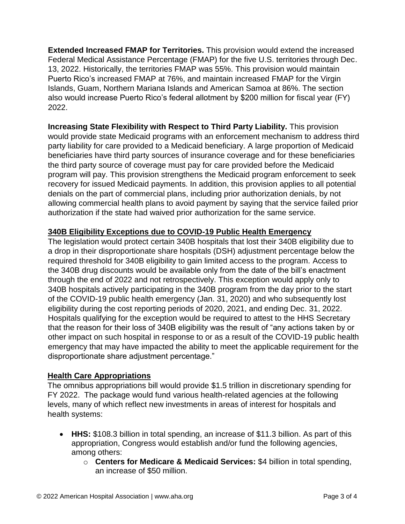**Extended Increased FMAP for Territories.** This provision would extend the increased Federal Medical Assistance Percentage (FMAP) for the five U.S. territories through Dec. 13, 2022. Historically, the territories FMAP was 55%. This provision would maintain Puerto Rico's increased FMAP at 76%, and maintain increased FMAP for the Virgin Islands, Guam, Northern Mariana Islands and American Samoa at 86%. The section also would increase Puerto Rico's federal allotment by \$200 million for fiscal year (FY) 2022.

**Increasing State Flexibility with Respect to Third Party Liability.** This provision would provide state Medicaid programs with an enforcement mechanism to address third party liability for care provided to a Medicaid beneficiary. A large proportion of Medicaid beneficiaries have third party sources of insurance coverage and for these beneficiaries the third party source of coverage must pay for care provided before the Medicaid program will pay. This provision strengthens the Medicaid program enforcement to seek recovery for issued Medicaid payments. In addition, this provision applies to all potential denials on the part of commercial plans, including prior authorization denials, by not allowing commercial health plans to avoid payment by saying that the service failed prior authorization if the state had waived prior authorization for the same service.

### **340B Eligibility Exceptions due to COVID-19 Public Health Emergency**

The legislation would protect certain 340B hospitals that lost their 340B eligibility due to a drop in their disproportionate share hospitals (DSH) adjustment percentage below the required threshold for 340B eligibility to gain limited access to the program. Access to the 340B drug discounts would be available only from the date of the bill's enactment through the end of 2022 and not retrospectively. This exception would apply only to 340B hospitals actively participating in the 340B program from the day prior to the start of the COVID-19 public health emergency (Jan. 31, 2020) and who subsequently lost eligibility during the cost reporting periods of 2020, 2021, and ending Dec. 31, 2022. Hospitals qualifying for the exception would be required to attest to the HHS Secretary that the reason for their loss of 340B eligibility was the result of "any actions taken by or other impact on such hospital in response to or as a result of the COVID-19 public health emergency that may have impacted the ability to meet the applicable requirement for the disproportionate share adjustment percentage."

### **Health Care Appropriations**

The omnibus appropriations bill would provide \$1.5 trillion in discretionary spending for FY 2022. The package would fund various health-related agencies at the following levels, many of which reflect new investments in areas of interest for hospitals and health systems:

- **HHS:** \$108.3 billion in total spending, an increase of \$11.3 billion. As part of this appropriation, Congress would establish and/or fund the following agencies, among others:
	- o **Centers for Medicare & Medicaid Services:** \$4 billion in total spending, an increase of \$50 million.